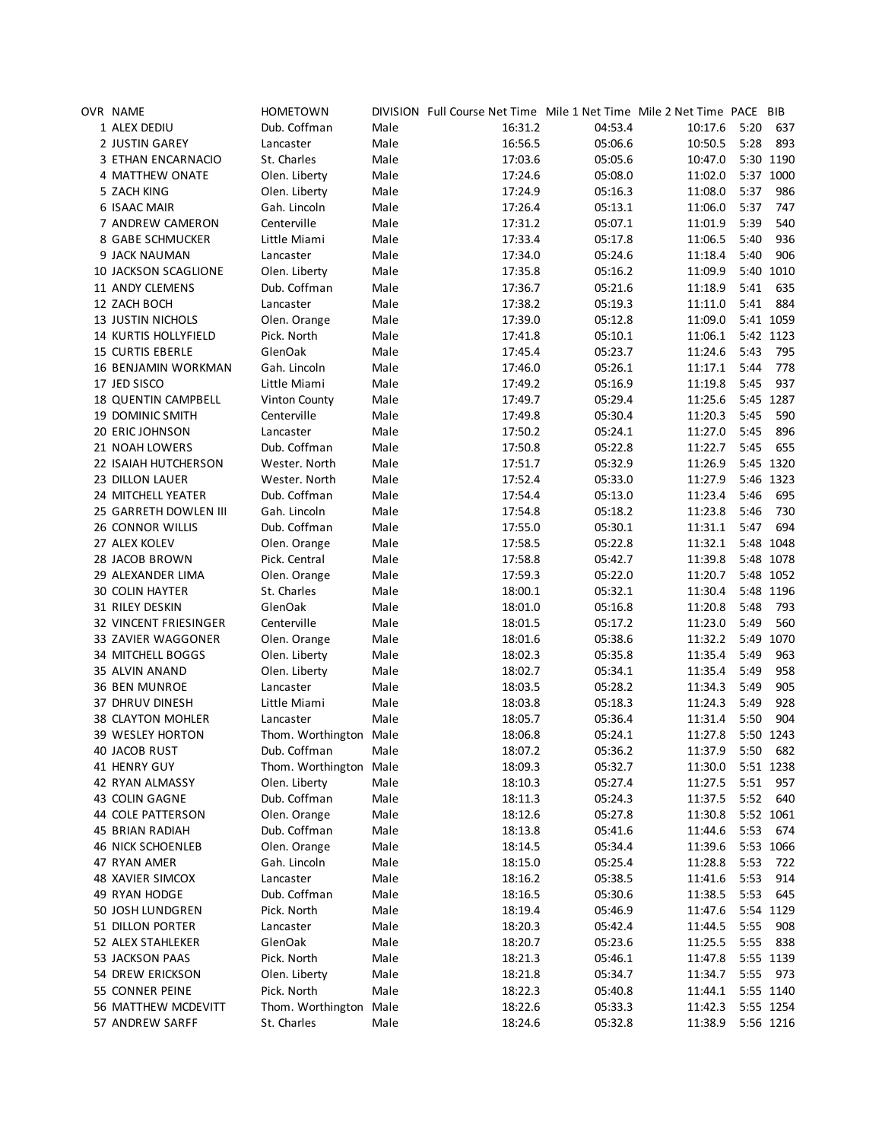| OVR NAME                    | <b>HOMETOWN</b>        |              | DIVISION Full Course Net Time Mile 1 Net Time Mile 2 Net Time PACE BIB |         |                    |      |            |
|-----------------------------|------------------------|--------------|------------------------------------------------------------------------|---------|--------------------|------|------------|
| 1 ALEX DEDIU                | Dub. Coffman           | Male         | 16:31.2                                                                | 04:53.4 | 10:17.6            | 5:20 | 637        |
| 2 JUSTIN GAREY              | Lancaster              | Male         | 16:56.5                                                                | 05:06.6 | 10:50.5            | 5:28 | 893        |
| 3 ETHAN ENCARNACIO          | St. Charles            | Male         | 17:03.6                                                                | 05:05.6 | 10:47.0            |      | 5:30 1190  |
| 4 MATTHEW ONATE             | Olen. Liberty          | Male         | 17:24.6                                                                | 05:08.0 | 11:02.0            |      | 5:37 1000  |
| 5 ZACH KING                 | Olen. Liberty          | Male         | 17:24.9                                                                | 05:16.3 | 11:08.0            | 5:37 | 986        |
| <b>6 ISAAC MAIR</b>         | Gah. Lincoln           | Male         | 17:26.4                                                                | 05:13.1 | 11:06.0            | 5:37 | 747        |
| 7 ANDREW CAMERON            | Centerville            | Male         | 17:31.2                                                                | 05:07.1 | 11:01.9            | 5:39 | 540        |
| 8 GABE SCHMUCKER            | Little Miami           | Male         | 17:33.4                                                                | 05:17.8 | 11:06.5            | 5:40 | 936        |
| 9 JACK NAUMAN               | Lancaster              | Male         | 17:34.0                                                                | 05:24.6 | 11:18.4            | 5:40 | 906        |
| <b>10 JACKSON SCAGLIONE</b> | Olen. Liberty          | Male         | 17:35.8                                                                | 05:16.2 | 11:09.9            |      | 5:40 1010  |
| 11 ANDY CLEMENS             | Dub. Coffman           | Male         | 17:36.7                                                                | 05:21.6 | 11:18.9            | 5:41 | 635        |
| 12 ZACH BOCH                | Lancaster              | Male         | 17:38.2                                                                | 05:19.3 | 11:11.0            | 5:41 | 884        |
| <b>13 JUSTIN NICHOLS</b>    | Olen. Orange           | Male         | 17:39.0                                                                | 05:12.8 | 11:09.0            |      | 5:41 1059  |
| 14 KURTIS HOLLYFIELD        | Pick. North            | Male         | 17:41.8                                                                | 05:10.1 | 11:06.1            |      | 5:42 1123  |
| 15 CURTIS EBERLE            | GlenOak                | Male         | 17:45.4                                                                | 05:23.7 | 11:24.6            | 5:43 | 795        |
| 16 BENJAMIN WORKMAN         | Gah. Lincoln           | Male         | 17:46.0                                                                | 05:26.1 | 11:17.1            | 5:44 | 778        |
| 17 JED SISCO                | Little Miami           | Male         | 17:49.2                                                                | 05:16.9 | 11:19.8            | 5:45 | 937        |
| 18 QUENTIN CAMPBELL         | Vinton County          | Male         | 17:49.7                                                                | 05:29.4 | 11:25.6            |      | 5:45 1287  |
| <b>19 DOMINIC SMITH</b>     | Centerville            | Male         | 17:49.8                                                                | 05:30.4 | 11:20.3            | 5:45 | 590        |
| 20 ERIC JOHNSON             | Lancaster              | Male         | 17:50.2                                                                | 05:24.1 | 11:27.0            | 5:45 | 896        |
| 21 NOAH LOWERS              | Dub. Coffman           | Male         | 17:50.8                                                                | 05:22.8 | 11:22.7            | 5:45 | 655        |
| 22 ISAIAH HUTCHERSON        | Wester. North          | Male         | 17:51.7                                                                | 05:32.9 | 11:26.9            |      | 5:45 1320  |
| 23 DILLON LAUER             | Wester. North          | Male         | 17:52.4                                                                | 05:33.0 | 11:27.9            |      | 5:46 1323  |
| 24 MITCHELL YEATER          | Dub. Coffman           | Male         | 17:54.4                                                                | 05:13.0 | 11:23.4            | 5:46 | 695        |
| 25 GARRETH DOWLEN III       | Gah. Lincoln           | Male         | 17:54.8                                                                | 05:18.2 | 11:23.8            | 5:46 | 730        |
| <b>26 CONNOR WILLIS</b>     | Dub. Coffman           | Male         | 17:55.0                                                                | 05:30.1 | 11:31.1            | 5:47 | 694        |
| 27 ALEX KOLEV               | Olen. Orange           | Male         | 17:58.5                                                                | 05:22.8 | 11:32.1            |      | 5:48 1048  |
| 28 JACOB BROWN              | Pick. Central          | Male         | 17:58.8                                                                | 05:42.7 | 11:39.8            |      | 5:48 1078  |
| 29 ALEXANDER LIMA           | Olen. Orange           | Male         | 17:59.3                                                                | 05:22.0 | 11:20.7            |      | 5:48 1052  |
| <b>30 COLIN HAYTER</b>      | St. Charles            | Male         | 18:00.1                                                                | 05:32.1 | 11:30.4            |      | 5:48 1196  |
| 31 RILEY DESKIN             | GlenOak                |              |                                                                        | 05:16.8 | 11:20.8            | 5:48 | 793        |
| 32 VINCENT FRIESINGER       | Centerville            | Male<br>Male | 18:01.0<br>18:01.5                                                     | 05:17.2 |                    | 5:49 | 560        |
| 33 ZAVIER WAGGONER          |                        | Male         | 18:01.6                                                                | 05:38.6 | 11:23.0<br>11:32.2 |      | 5:49 1070  |
| 34 MITCHELL BOGGS           | Olen. Orange           |              |                                                                        | 05:35.8 |                    | 5:49 | 963        |
|                             | Olen. Liberty          | Male         | 18:02.3                                                                | 05:34.1 | 11:35.4            |      |            |
| 35 ALVIN ANAND              | Olen. Liberty          | Male         | 18:02.7                                                                |         | 11:35.4            | 5:49 | 958        |
| <b>36 BEN MUNROE</b>        | Lancaster              | Male         | 18:03.5                                                                | 05:28.2 | 11:34.3            | 5:49 | 905<br>928 |
| 37 DHRUV DINESH             | Little Miami           | Male         | 18:03.8                                                                | 05:18.3 | 11:24.3            | 5:49 |            |
| 38 CLAYTON MOHLER           | Lancaster              | Male         | 18:05.7                                                                | 05:36.4 | 11:31.4            | 5:50 | 904        |
| <b>39 WESLEY HORTON</b>     | Thom. Worthington Male |              | 18:06.8                                                                | 05:24.1 | 11:27.8            |      | 5:50 1243  |
| 40 JACOB RUST               | Dub. Coffman           | Male         | 18:07.2                                                                | 05:36.2 | 11:37.9 5:50 682   |      |            |
| 41 HENRY GUY                | Thom. Worthington Male |              | 18:09.3                                                                | 05:32.7 | 11:30.0            |      | 5:51 1238  |
| 42 RYAN ALMASSY             | Olen. Liberty          | Male         | 18:10.3                                                                | 05:27.4 | 11:27.5            | 5:51 | 957        |
| 43 COLIN GAGNE              | Dub. Coffman           | Male         | 18:11.3                                                                | 05:24.3 | 11:37.5            | 5:52 | 640        |
| 44 COLE PATTERSON           | Olen. Orange           | Male         | 18:12.6                                                                | 05:27.8 | 11:30.8            |      | 5:52 1061  |
| <b>45 BRIAN RADIAH</b>      | Dub. Coffman           | Male         | 18:13.8                                                                | 05:41.6 | 11:44.6            | 5:53 | 674        |
| <b>46 NICK SCHOENLEB</b>    | Olen. Orange           | Male         | 18:14.5                                                                | 05:34.4 | 11:39.6            |      | 5:53 1066  |
| 47 RYAN AMER                | Gah. Lincoln           | Male         | 18:15.0                                                                | 05:25.4 | 11:28.8            | 5:53 | 722        |
| <b>48 XAVIER SIMCOX</b>     | Lancaster              | Male         | 18:16.2                                                                | 05:38.5 | 11:41.6            | 5:53 | 914        |
| 49 RYAN HODGE               | Dub. Coffman           | Male         | 18:16.5                                                                | 05:30.6 | 11:38.5            | 5:53 | 645        |
| 50 JOSH LUNDGREN            | Pick. North            | Male         | 18:19.4                                                                | 05:46.9 | 11:47.6            |      | 5:54 1129  |
| 51 DILLON PORTER            | Lancaster              | Male         | 18:20.3                                                                | 05:42.4 | 11:44.5            | 5:55 | 908        |
| 52 ALEX STAHLEKER           | GlenOak                | Male         | 18:20.7                                                                | 05:23.6 | 11:25.5            | 5:55 | 838        |
| 53 JACKSON PAAS             | Pick. North            | Male         | 18:21.3                                                                | 05:46.1 | 11:47.8            |      | 5:55 1139  |
| 54 DREW ERICKSON            | Olen. Liberty          | Male         | 18:21.8                                                                | 05:34.7 | 11:34.7            | 5:55 | 973        |
| 55 CONNER PEINE             | Pick. North            | Male         | 18:22.3                                                                | 05:40.8 | 11:44.1            |      | 5:55 1140  |
| 56 MATTHEW MCDEVITT         | Thom. Worthington      | Male         | 18:22.6                                                                | 05:33.3 | 11:42.3            |      | 5:55 1254  |
| 57 ANDREW SARFF             | St. Charles            | Male         | 18:24.6                                                                | 05:32.8 | 11:38.9            |      | 5:56 1216  |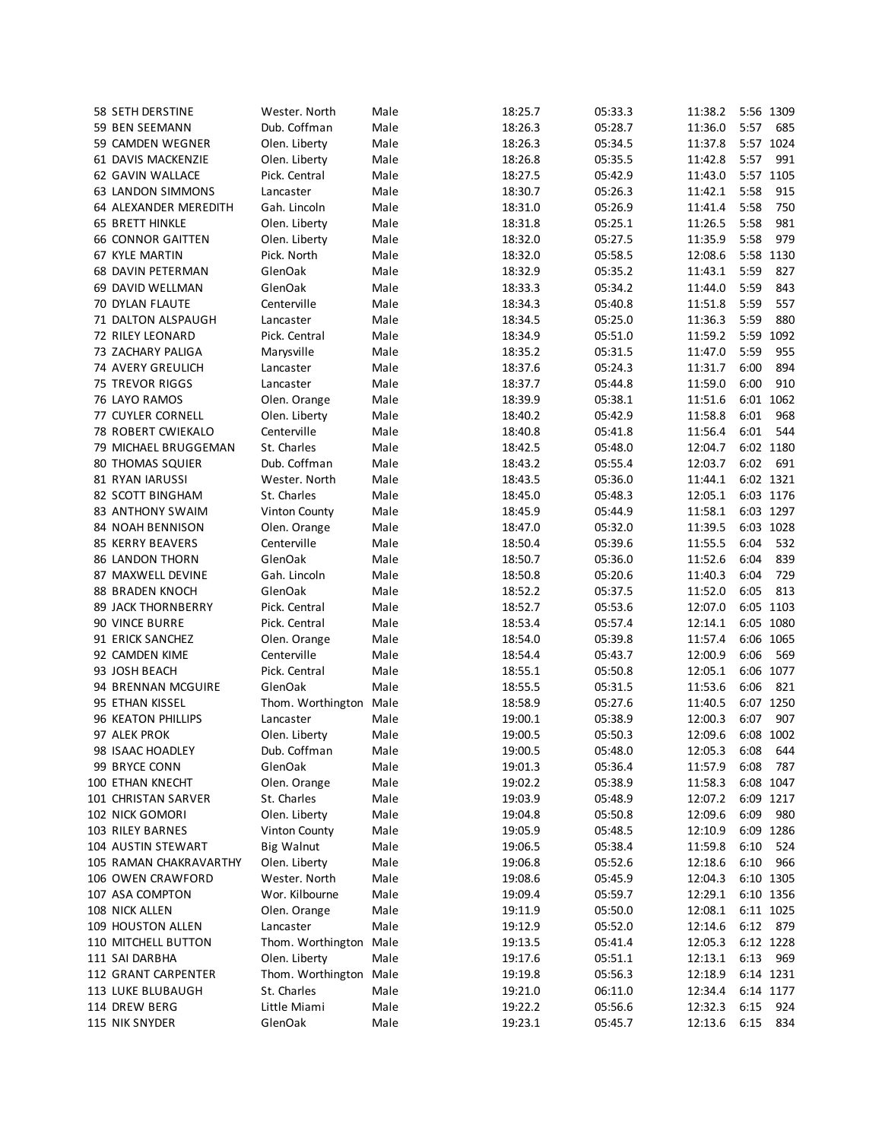| 58 SETH DERSTINE          | Wester. North          | Male | 18:25.7 | 05:33.3 | 11:38.2          | 5:56 1309 |           |
|---------------------------|------------------------|------|---------|---------|------------------|-----------|-----------|
| 59 BEN SEEMANN            | Dub. Coffman           | Male | 18:26.3 | 05:28.7 | 11:36.0          | 5:57      | 685       |
| 59 CAMDEN WEGNER          | Olen. Liberty          | Male | 18:26.3 | 05:34.5 | 11:37.8          |           | 5:57 1024 |
| 61 DAVIS MACKENZIE        | Olen. Liberty          | Male | 18:26.8 | 05:35.5 | 11:42.8          | 5:57      | 991       |
| 62 GAVIN WALLACE          | Pick. Central          | Male | 18:27.5 | 05:42.9 | 11:43.0          |           | 5:57 1105 |
| 63 LANDON SIMMONS         | Lancaster              | Male | 18:30.7 | 05:26.3 | 11:42.1          | 5:58      | 915       |
| 64 ALEXANDER MEREDITH     | Gah. Lincoln           | Male | 18:31.0 | 05:26.9 | 11:41.4          | 5:58      | 750       |
| <b>65 BRETT HINKLE</b>    | Olen. Liberty          | Male | 18:31.8 | 05:25.1 | 11:26.5          | 5:58      | 981       |
| <b>66 CONNOR GAITTEN</b>  | Olen. Liberty          | Male | 18:32.0 | 05:27.5 | 11:35.9          | 5:58      | 979       |
| 67 KYLE MARTIN            | Pick. North            | Male | 18:32.0 | 05:58.5 | 12:08.6          |           | 5:58 1130 |
| <b>68 DAVIN PETERMAN</b>  | GlenOak                | Male | 18:32.9 | 05:35.2 | 11:43.1          | 5:59      | 827       |
| 69 DAVID WELLMAN          | GlenOak                | Male | 18:33.3 | 05:34.2 | 11:44.0          | 5:59      | 843       |
| 70 DYLAN FLAUTE           | Centerville            | Male | 18:34.3 | 05:40.8 | 11:51.8          | 5:59      | 557       |
| 71 DALTON ALSPAUGH        | Lancaster              | Male | 18:34.5 | 05:25.0 | 11:36.3          | 5:59      | 880       |
| 72 RILEY LEONARD          | Pick. Central          | Male | 18:34.9 | 05:51.0 | 11:59.2          | 5:59      | 1092      |
|                           |                        |      |         |         |                  | 5:59      | 955       |
| 73 ZACHARY PALIGA         | Marysville             | Male | 18:35.2 | 05:31.5 | 11:47.0          |           |           |
| 74 AVERY GREULICH         | Lancaster              | Male | 18:37.6 | 05:24.3 | 11:31.7          | 6:00      | 894       |
| <b>75 TREVOR RIGGS</b>    | Lancaster              | Male | 18:37.7 | 05:44.8 | 11:59.0          | 6:00      | 910       |
| 76 LAYO RAMOS             | Olen. Orange           | Male | 18:39.9 | 05:38.1 | 11:51.6          |           | 6:01 1062 |
| 77 CUYLER CORNELL         | Olen. Liberty          | Male | 18:40.2 | 05:42.9 | 11:58.8          | 6:01      | 968       |
| <b>78 ROBERT CWIEKALO</b> | Centerville            | Male | 18:40.8 | 05:41.8 | 11:56.4          | 6:01      | 544       |
| 79 MICHAEL BRUGGEMAN      | St. Charles            | Male | 18:42.5 | 05:48.0 | 12:04.7          |           | 6:02 1180 |
| <b>80 THOMAS SQUIER</b>   | Dub. Coffman           | Male | 18:43.2 | 05:55.4 | 12:03.7          | 6:02      | 691       |
| <b>81 RYAN IARUSSI</b>    | Wester. North          | Male | 18:43.5 | 05:36.0 | 11:44.1          |           | 6:02 1321 |
| 82 SCOTT BINGHAM          | St. Charles            | Male | 18:45.0 | 05:48.3 | 12:05.1          |           | 6:03 1176 |
| <b>83 ANTHONY SWAIM</b>   | Vinton County          | Male | 18:45.9 | 05:44.9 | 11:58.1          |           | 6:03 1297 |
| 84 NOAH BENNISON          | Olen. Orange           | Male | 18:47.0 | 05:32.0 | 11:39.5          |           | 6:03 1028 |
| <b>85 KERRY BEAVERS</b>   | Centerville            | Male | 18:50.4 | 05:39.6 | 11:55.5          | 6:04      | 532       |
| <b>86 LANDON THORN</b>    | GlenOak                | Male | 18:50.7 | 05:36.0 | 11:52.6          | 6:04      | 839       |
| 87 MAXWELL DEVINE         | Gah. Lincoln           | Male | 18:50.8 | 05:20.6 | 11:40.3          | 6:04      | 729       |
| <b>88 BRADEN KNOCH</b>    | GlenOak                | Male | 18:52.2 | 05:37.5 | 11:52.0          | 6:05      | 813       |
| <b>89 JACK THORNBERRY</b> | Pick. Central          | Male | 18:52.7 | 05:53.6 | 12:07.0          |           | 6:05 1103 |
| 90 VINCE BURRE            | Pick. Central          | Male | 18:53.4 | 05:57.4 | 12:14.1          |           | 6:05 1080 |
| 91 ERICK SANCHEZ          | Olen. Orange           | Male | 18:54.0 | 05:39.8 | 11:57.4          |           | 6:06 1065 |
| 92 CAMDEN KIME            | Centerville            | Male | 18:54.4 | 05:43.7 | 12:00.9          | 6:06      | 569       |
| 93 JOSH BEACH             | Pick. Central          | Male | 18:55.1 | 05:50.8 | 12:05.1          |           | 6:06 1077 |
| 94 BRENNAN MCGUIRE        | GlenOak                | Male | 18:55.5 | 05:31.5 | 11:53.6          | 6:06      | 821       |
| 95 ETHAN KISSEL           | Thom. Worthington      | Male | 18:58.9 | 05:27.6 | 11:40.5          |           | 6:07 1250 |
| 96 KEATON PHILLIPS        | Lancaster              | Male | 19:00.1 | 05:38.9 | 12:00.3          | 6:07      | 907       |
| 97 ALEK PROK              | Olen. Liberty          | Male | 19:00.5 | 05:50.3 | 12:09.6          |           | 6:08 1002 |
| 98 ISAAC HOADLEY          | Dub. Coffman           | Male | 19:00.5 | 05:48.0 | 12:05.3 6:08 644 |           |           |
| 99 BRYCE CONN             | GlenOak                | Male | 19:01.3 | 05:36.4 | 11:57.9          | 6:08      | 787       |
| 100 ETHAN KNECHT          | Olen. Orange           | Male | 19:02.2 | 05:38.9 | 11:58.3          |           | 6:08 1047 |
| 101 CHRISTAN SARVER       | St. Charles            | Male | 19:03.9 | 05:48.9 | 12:07.2          |           | 6:09 1217 |
|                           |                        |      |         |         | 12:09.6          |           |           |
| 102 NICK GOMORI           | Olen. Liberty          | Male | 19:04.8 | 05:50.8 |                  | 6:09      | 980       |
| 103 RILEY BARNES          | Vinton County          | Male | 19:05.9 | 05:48.5 | 12:10.9          |           | 6:09 1286 |
| 104 AUSTIN STEWART        | <b>Big Walnut</b>      | Male | 19:06.5 | 05:38.4 | 11:59.8          | 6:10      | 524       |
| 105 RAMAN CHAKRAVARTHY    | Olen. Liberty          | Male | 19:06.8 | 05:52.6 | 12:18.6          | 6:10      | 966       |
| 106 OWEN CRAWFORD         | Wester. North          | Male | 19:08.6 | 05:45.9 | 12:04.3          |           | 6:10 1305 |
| 107 ASA COMPTON           | Wor. Kilbourne         | Male | 19:09.4 | 05:59.7 | 12:29.1          |           | 6:10 1356 |
| 108 NICK ALLEN            | Olen. Orange           | Male | 19:11.9 | 05:50.0 | 12:08.1          |           | 6:11 1025 |
| 109 HOUSTON ALLEN         | Lancaster              | Male | 19:12.9 | 05:52.0 | 12:14.6          | 6:12      | 879       |
| 110 MITCHELL BUTTON       | Thom. Worthington      | Male | 19:13.5 | 05:41.4 | 12:05.3          |           | 6:12 1228 |
| 111 SAI DARBHA            | Olen. Liberty          | Male | 19:17.6 | 05:51.1 | 12:13.1          | 6:13      | 969       |
| 112 GRANT CARPENTER       | Thom. Worthington Male |      | 19:19.8 | 05:56.3 | 12:18.9          |           | 6:14 1231 |
| 113 LUKE BLUBAUGH         | St. Charles            | Male | 19:21.0 | 06:11.0 | 12:34.4          |           | 6:14 1177 |
| 114 DREW BERG             | Little Miami           | Male | 19:22.2 | 05:56.6 | 12:32.3          | 6:15      | 924       |
| 115 NIK SNYDER            | GlenOak                | Male | 19:23.1 | 05:45.7 | 12:13.6          | 6:15      | 834       |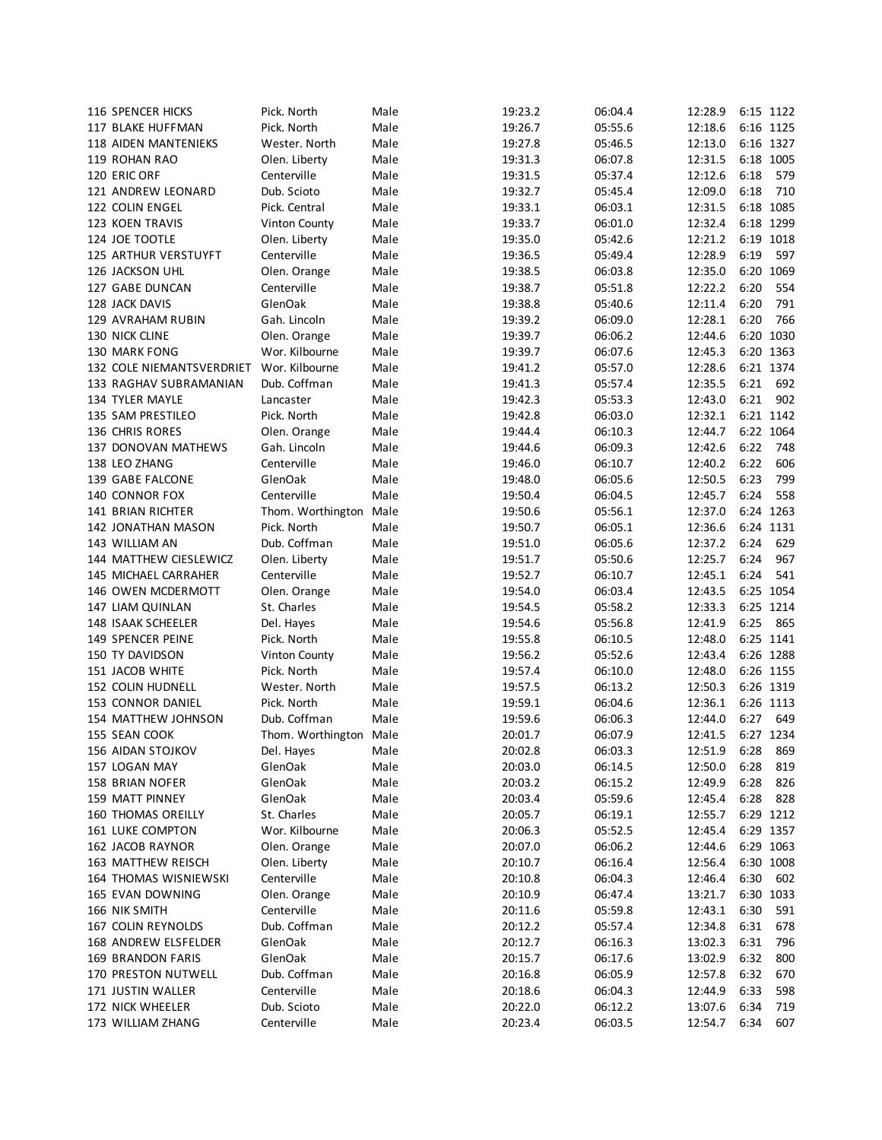| 116 SPENCER HICKS            | Pick. North            | Male | 19:23.2            | 06:04.4 | 12:28.9          |      | 6:15 1122 |
|------------------------------|------------------------|------|--------------------|---------|------------------|------|-----------|
| 117 BLAKE HUFFMAN            | Pick. North            | Male | 19:26.7            | 05:55.6 | 12:18.6          |      | 6:16 1125 |
| <b>118 AIDEN MANTENIEKS</b>  | Wester. North          | Male | 19:27.8            | 05:46.5 | 12:13.0          |      | 6:16 1327 |
| 119 ROHAN RAO                | Olen. Liberty          | Male | 19:31.3            | 06:07.8 | 12:31.5          |      | 6:18 1005 |
| 120 ERIC ORF                 | Centerville            | Male | 19:31.5            | 05:37.4 | 12:12.6          | 6:18 | 579       |
| 121 ANDREW LEONARD           | Dub. Scioto            | Male | 19:32.7            | 05:45.4 | 12:09.0          | 6:18 | 710       |
| 122 COLIN ENGEL              | Pick. Central          | Male | 19:33.1            | 06:03.1 | 12:31.5          |      | 6:18 1085 |
| 123 KOEN TRAVIS              | Vinton County          | Male | 19:33.7            | 06:01.0 | 12:32.4          |      | 6:18 1299 |
| 124 JOE TOOTLE               | Olen. Liberty          | Male | 19:35.0            | 05:42.6 | 12:21.2          |      | 6:19 1018 |
| 125 ARTHUR VERSTUYFT         | Centerville            | Male | 19:36.5            | 05:49.4 | 12:28.9          | 6:19 | 597       |
| 126 JACKSON UHL              | Olen. Orange           | Male | 19:38.5            | 06:03.8 | 12:35.0          |      | 6:20 1069 |
| 127 GABE DUNCAN              | Centerville            | Male | 19:38.7            | 05:51.8 | 12:22.2          | 6:20 | 554       |
| 128 JACK DAVIS               | GlenOak                | Male | 19:38.8            | 05:40.6 | 12:11.4          | 6:20 | 791       |
| 129 AVRAHAM RUBIN            | Gah. Lincoln           | Male | 19:39.2            | 06:09.0 | 12:28.1          | 6:20 | 766       |
| 130 NICK CLINE               | Olen. Orange           | Male | 19:39.7            | 06:06.2 | 12:44.6          | 6:20 | 1030      |
|                              |                        |      |                    |         |                  |      | 6:20 1363 |
| 130 MARK FONG                | Wor. Kilbourne         | Male | 19:39.7            | 06:07.6 | 12:45.3          |      |           |
| 132 COLE NIEMANTSVERDRIET    | Wor. Kilbourne         | Male | 19:41.2            | 05:57.0 | 12:28.6          |      | 6:21 1374 |
| 133 RAGHAV SUBRAMANIAN       | Dub. Coffman           | Male | 19:41.3            | 05:57.4 | 12:35.5          | 6:21 | 692       |
| 134 TYLER MAYLE              | Lancaster              | Male | 19:42.3            | 05:53.3 | 12:43.0          | 6:21 | 902       |
| 135 SAM PRESTILEO            | Pick. North            | Male | 19:42.8            | 06:03.0 | 12:32.1          |      | 6:21 1142 |
| 136 CHRIS RORES              | Olen. Orange           | Male | 19:44.4            | 06:10.3 | 12:44.7          |      | 6:22 1064 |
| 137 DONOVAN MATHEWS          | Gah. Lincoln           | Male | 19:44.6            | 06:09.3 | 12:42.6          | 6:22 | 748       |
| 138 LEO ZHANG                | Centerville            | Male | 19:46.0            | 06:10.7 | 12:40.2          | 6:22 | 606       |
| 139 GABE FALCONE             | GlenOak                | Male | 19:48.0            | 06:05.6 | 12:50.5          | 6:23 | 799       |
| 140 CONNOR FOX               | Centerville            | Male | 19:50.4            | 06:04.5 | 12:45.7          | 6:24 | 558       |
| 141 BRIAN RICHTER            | Thom. Worthington Male |      | 19:50.6            | 05:56.1 | 12:37.0          |      | 6:24 1263 |
| 142 JONATHAN MASON           | Pick. North            | Male | 19:50.7            | 06:05.1 | 12:36.6          |      | 6:24 1131 |
| 143 WILLIAM AN               | Dub. Coffman           | Male | 19:51.0            | 06:05.6 | 12:37.2          | 6:24 | 629       |
| 144 MATTHEW CIESLEWICZ       | Olen. Liberty          | Male | 19:51.7            | 05:50.6 | 12:25.7          | 6:24 | 967       |
| 145 MICHAEL CARRAHER         | Centerville            | Male | 19:52.7            | 06:10.7 | 12:45.1          | 6:24 | 541       |
| 146 OWEN MCDERMOTT           | Olen. Orange           | Male | 19:54.0            | 06:03.4 | 12:43.5          |      | 6:25 1054 |
| 147 LIAM QUINLAN             | St. Charles            | Male | 19:54.5            | 05:58.2 | 12:33.3          |      | 6:25 1214 |
| 148 ISAAK SCHEELER           | Del. Hayes             | Male | 19:54.6            | 05:56.8 | 12:41.9          | 6:25 | 865       |
| 149 SPENCER PEINE            | Pick. North            | Male | 19:55.8            | 06:10.5 | 12:48.0          |      | 6:25 1141 |
| 150 TY DAVIDSON              | <b>Vinton County</b>   | Male | 19:56.2            | 05:52.6 | 12:43.4          |      | 6:26 1288 |
| 151 JACOB WHITE              | Pick. North            | Male | 19:57.4            | 06:10.0 | 12:48.0          |      | 6:26 1155 |
| <b>152 COLIN HUDNELL</b>     | Wester. North          | Male |                    | 06:13.2 | 12:50.3          |      | 6:26 1319 |
| 153 CONNOR DANIEL            | Pick. North            | Male | 19:57.5<br>19:59.1 |         | 12:36.1          |      | 6:26 1113 |
|                              | Dub. Coffman           |      |                    | 06:04.6 |                  | 6:27 | 649       |
| 154 MATTHEW JOHNSON          |                        | Male | 19:59.6            | 06:06.3 | 12:44.0          |      |           |
| 155 SEAN COOK                | Thom. Worthington Male |      | 20:01.7            | 06:07.9 | 12:41.5          |      | 6:27 1234 |
| 156 AIDAN STOJKOV            | Del. Hayes             | Male | 20:02.8            | 06:03.3 | 12:51.9 6:28 869 |      |           |
| 157 LOGAN MAY                | GlenOak                | Male | 20:03.0            | 06:14.5 | 12:50.0          | 6:28 | 819       |
| 158 BRIAN NOFER              | GlenOak                | Male | 20:03.2            | 06:15.2 | 12:49.9          | 6:28 | 826       |
| 159 MATT PINNEY              | GlenOak                | Male | 20:03.4            | 05:59.6 | 12:45.4          | 6:28 | 828       |
| <b>160 THOMAS OREILLY</b>    | St. Charles            | Male | 20:05.7            | 06:19.1 | 12:55.7          |      | 6:29 1212 |
| 161 LUKE COMPTON             | Wor. Kilbourne         | Male | 20:06.3            | 05:52.5 | 12:45.4          |      | 6:29 1357 |
| 162 JACOB RAYNOR             | Olen. Orange           | Male | 20:07.0            | 06:06.2 | 12:44.6          |      | 6:29 1063 |
| 163 MATTHEW REISCH           | Olen. Liberty          | Male | 20:10.7            | 06:16.4 | 12:56.4          |      | 6:30 1008 |
| <b>164 THOMAS WISNIEWSKI</b> | Centerville            | Male | 20:10.8            | 06:04.3 | 12:46.4          | 6:30 | 602       |
| 165 EVAN DOWNING             | Olen. Orange           | Male | 20:10.9            | 06:47.4 | 13:21.7          |      | 6:30 1033 |
| 166 NIK SMITH                | Centerville            | Male | 20:11.6            | 05:59.8 | 12:43.1          | 6:30 | 591       |
| 167 COLIN REYNOLDS           | Dub. Coffman           | Male | 20:12.2            | 05:57.4 | 12:34.8          | 6:31 | 678       |
| 168 ANDREW ELSFELDER         | GlenOak                | Male | 20:12.7            | 06:16.3 | 13:02.3          | 6:31 | 796       |
| 169 BRANDON FARIS            | GlenOak                | Male | 20:15.7            | 06:17.6 | 13:02.9          | 6:32 | 800       |
| 170 PRESTON NUTWELL          | Dub. Coffman           | Male | 20:16.8            | 06:05.9 | 12:57.8          | 6:32 | 670       |
| 171 JUSTIN WALLER            | Centerville            | Male | 20:18.6            | 06:04.3 | 12:44.9          | 6:33 | 598       |
| 172 NICK WHEELER             | Dub. Scioto            | Male | 20:22.0            | 06:12.2 | 13:07.6          | 6:34 | 719       |
| 173 WILLIAM ZHANG            | Centerville            | Male | 20:23.4            | 06:03.5 | 12:54.7          | 6:34 | 607       |
|                              |                        |      |                    |         |                  |      |           |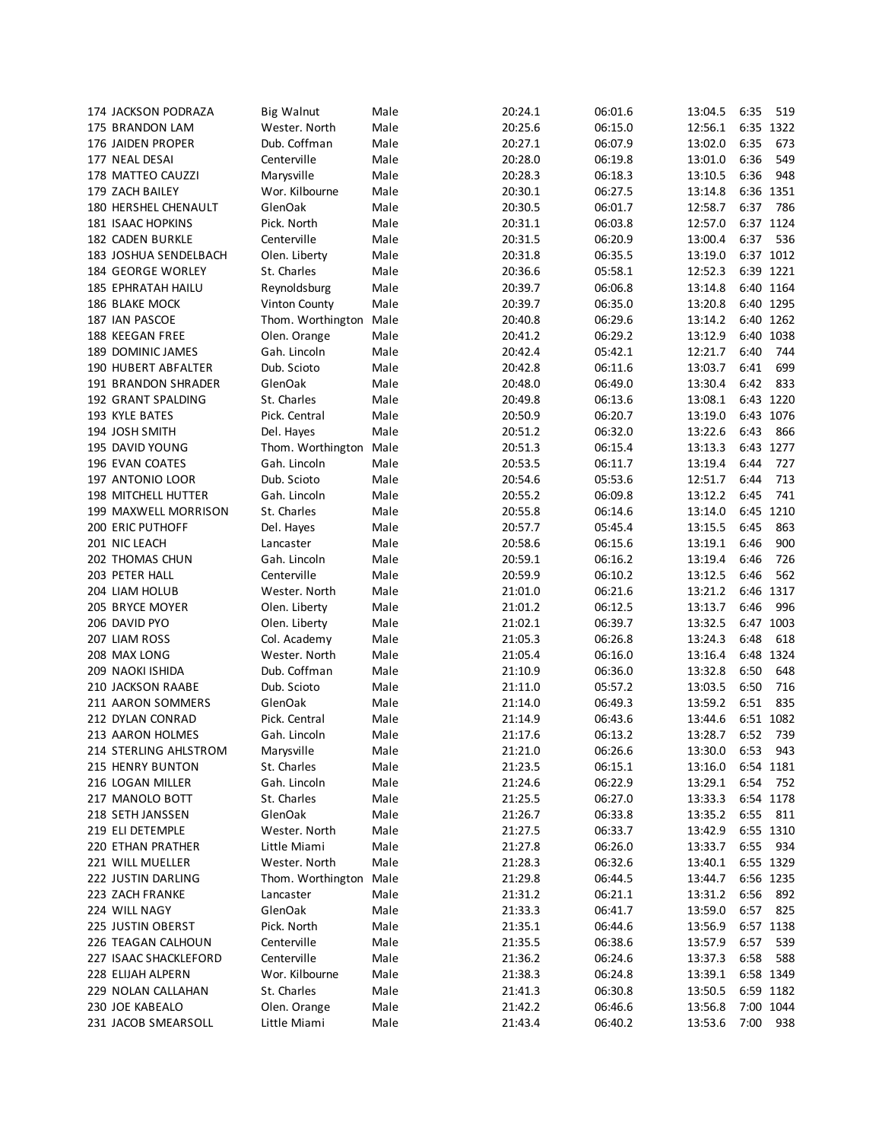| 174 JACKSON PODRAZA       | <b>Big Walnut</b>                      | Male | 20:24.1 | 06:01.6 | 13:04.5          | 6:35 | 519       |
|---------------------------|----------------------------------------|------|---------|---------|------------------|------|-----------|
| 175 BRANDON LAM           | Wester. North                          | Male | 20:25.6 | 06:15.0 | 12:56.1          |      | 6:35 1322 |
| 176 JAIDEN PROPER         | Dub. Coffman                           | Male | 20:27.1 | 06:07.9 | 13:02.0          | 6:35 | 673       |
| 177 NEAL DESAI            | Centerville                            | Male | 20:28.0 | 06:19.8 | 13:01.0          | 6:36 | 549       |
| 178 MATTEO CAUZZI         | Marysville                             | Male | 20:28.3 | 06:18.3 | 13:10.5          | 6:36 | 948       |
| 179 ZACH BAILEY           | Wor. Kilbourne                         | Male | 20:30.1 | 06:27.5 | 13:14.8          |      | 6:36 1351 |
| 180 HERSHEL CHENAULT      | GlenOak                                | Male | 20:30.5 | 06:01.7 | 12:58.7          | 6:37 | 786       |
| 181 ISAAC HOPKINS         | Pick. North                            | Male | 20:31.1 | 06:03.8 | 12:57.0          |      | 6:37 1124 |
| 182 CADEN BURKLE          | Centerville                            | Male | 20:31.5 | 06:20.9 | 13:00.4          | 6:37 | 536       |
| 183 JOSHUA SENDELBACH     | Olen. Liberty                          | Male | 20:31.8 | 06:35.5 | 13:19.0          |      | 6:37 1012 |
| <b>184 GEORGE WORLEY</b>  | St. Charles                            | Male | 20:36.6 | 05:58.1 | 12:52.3          |      | 6:39 1221 |
| <b>185 EPHRATAH HAILU</b> | Reynoldsburg                           | Male | 20:39.7 | 06:06.8 | 13:14.8          |      | 6:40 1164 |
| 186 BLAKE MOCK            | Vinton County                          | Male | 20:39.7 | 06:35.0 | 13:20.8          |      | 6:40 1295 |
| 187 IAN PASCOE            | Thom. Worthington Male                 |      | 20:40.8 | 06:29.6 | 13:14.2          |      | 6:40 1262 |
| 188 KEEGAN FREE           | Olen. Orange                           | Male | 20:41.2 | 06:29.2 | 13:12.9          |      | 6:40 1038 |
| 189 DOMINIC JAMES         | Gah. Lincoln                           | Male | 20:42.4 | 05:42.1 | 12:21.7          | 6:40 | 744       |
| 190 HUBERT ABFALTER       | Dub. Scioto                            | Male | 20:42.8 | 06:11.6 | 13:03.7          | 6:41 | 699       |
| 191 BRANDON SHRADER       | GlenOak                                | Male | 20:48.0 | 06:49.0 | 13:30.4          | 6:42 | 833       |
| 192 GRANT SPALDING        | St. Charles                            | Male | 20:49.8 | 06:13.6 | 13:08.1          |      | 6:43 1220 |
| 193 KYLE BATES            | Pick. Central                          | Male | 20:50.9 | 06:20.7 | 13:19.0          |      | 6:43 1076 |
| 194 JOSH SMITH            | Del. Hayes                             | Male | 20:51.2 | 06:32.0 | 13:22.6          | 6:43 | 866       |
| 195 DAVID YOUNG           |                                        |      | 20:51.3 | 06:15.4 | 13:13.3          |      | 6:43 1277 |
| 196 EVAN COATES           | Thom. Worthington Male<br>Gah. Lincoln | Male | 20:53.5 | 06:11.7 | 13:19.4          | 6:44 | 727       |
| 197 ANTONIO LOOR          |                                        |      |         |         |                  | 6:44 | 713       |
|                           | Dub. Scioto                            | Male | 20:54.6 | 05:53.6 | 12:51.7          | 6:45 | 741       |
| 198 MITCHELL HUTTER       | Gah. Lincoln                           | Male | 20:55.2 | 06:09.8 | 13:12.2          |      | 6:45 1210 |
| 199 MAXWELL MORRISON      | St. Charles                            | Male | 20:55.8 | 06:14.6 | 13:14.0          |      |           |
| 200 ERIC PUTHOFF          | Del. Hayes                             | Male | 20:57.7 | 05:45.4 | 13:15.5          | 6:45 | 863       |
| 201 NIC LEACH             | Lancaster                              | Male | 20:58.6 | 06:15.6 | 13:19.1          | 6:46 | 900       |
| 202 THOMAS CHUN           | Gah. Lincoln                           | Male | 20:59.1 | 06:16.2 | 13:19.4          | 6:46 | 726       |
| 203 PETER HALL            | Centerville                            | Male | 20:59.9 | 06:10.2 | 13:12.5          | 6:46 | 562       |
| 204 LIAM HOLUB            | Wester. North                          | Male | 21:01.0 | 06:21.6 | 13:21.2          |      | 6:46 1317 |
| 205 BRYCE MOYER           | Olen. Liberty                          | Male | 21:01.2 | 06:12.5 | 13:13.7          | 6:46 | 996       |
| 206 DAVID PYO             | Olen. Liberty                          | Male | 21:02.1 | 06:39.7 | 13:32.5          |      | 6:47 1003 |
| 207 LIAM ROSS             | Col. Academy                           | Male | 21:05.3 | 06:26.8 | 13:24.3          | 6:48 | 618       |
| 208 MAX LONG              | Wester. North                          | Male | 21:05.4 | 06:16.0 | 13:16.4          |      | 6:48 1324 |
| 209 NAOKI ISHIDA          | Dub. Coffman                           | Male | 21:10.9 | 06:36.0 | 13:32.8          | 6:50 | 648       |
| 210 JACKSON RAABE         | Dub. Scioto                            | Male | 21:11.0 | 05:57.2 | 13:03.5          | 6:50 | 716       |
| 211 AARON SOMMERS         | GlenOak                                | Male | 21:14.0 | 06:49.3 | 13:59.2          | 6:51 | 835       |
| 212 DYLAN CONRAD          | Pick. Central                          | Male | 21:14.9 | 06:43.6 | 13:44.6          |      | 6:51 1082 |
| 213 AARON HOLMES          | Gah. Lincoln                           | Male | 21:17.6 | 06:13.2 | 13:28.7          | 6:52 | 739       |
| 214 STERLING AHLSTROM     | Marysville                             | Male | 21:21.0 | 06:26.6 | 13:30.0 6:53 943 |      |           |
| 215 HENRY BUNTON          | St. Charles                            | Male | 21:23.5 | 06:15.1 | 13:16.0          |      | 6:54 1181 |
| 216 LOGAN MILLER          | Gah. Lincoln                           | Male | 21:24.6 | 06:22.9 | 13:29.1          | 6:54 | 752       |
| 217 MANOLO BOTT           | St. Charles                            | Male | 21:25.5 | 06:27.0 | 13:33.3          |      | 6:54 1178 |
| 218 SETH JANSSEN          | GlenOak                                | Male | 21:26.7 | 06:33.8 | 13:35.2          | 6:55 | 811       |
| 219 ELI DETEMPLE          | Wester. North                          | Male | 21:27.5 | 06:33.7 | 13:42.9          |      | 6:55 1310 |
| 220 ETHAN PRATHER         | Little Miami                           | Male | 21:27.8 | 06:26.0 | 13:33.7          | 6:55 | 934       |
| 221 WILL MUELLER          | Wester. North                          | Male | 21:28.3 | 06:32.6 | 13:40.1          |      | 6:55 1329 |
| 222 JUSTIN DARLING        | Thom. Worthington Male                 |      | 21:29.8 | 06:44.5 | 13:44.7          |      | 6:56 1235 |
| 223 ZACH FRANKE           | Lancaster                              | Male | 21:31.2 | 06:21.1 | 13:31.2          | 6:56 | 892       |
| 224 WILL NAGY             | GlenOak                                | Male | 21:33.3 | 06:41.7 | 13:59.0          | 6:57 | 825       |
| 225 JUSTIN OBERST         | Pick. North                            | Male | 21:35.1 | 06:44.6 | 13:56.9          |      | 6:57 1138 |
| 226 TEAGAN CALHOUN        | Centerville                            | Male | 21:35.5 | 06:38.6 | 13:57.9          | 6:57 | 539       |
| 227 ISAAC SHACKLEFORD     | Centerville                            | Male | 21:36.2 | 06:24.6 | 13:37.3          | 6:58 | 588       |
| 228 ELIJAH ALPERN         | Wor. Kilbourne                         | Male | 21:38.3 | 06:24.8 | 13:39.1          |      | 6:58 1349 |
| 229 NOLAN CALLAHAN        | St. Charles                            | Male | 21:41.3 | 06:30.8 | 13:50.5          |      | 6:59 1182 |
| 230 JOE KABEALO           | Olen. Orange                           | Male | 21:42.2 | 06:46.6 | 13:56.8          |      | 7:00 1044 |
| 231 JACOB SMEARSOLL       | Little Miami                           | Male | 21:43.4 | 06:40.2 | 13:53.6          | 7:00 | 938       |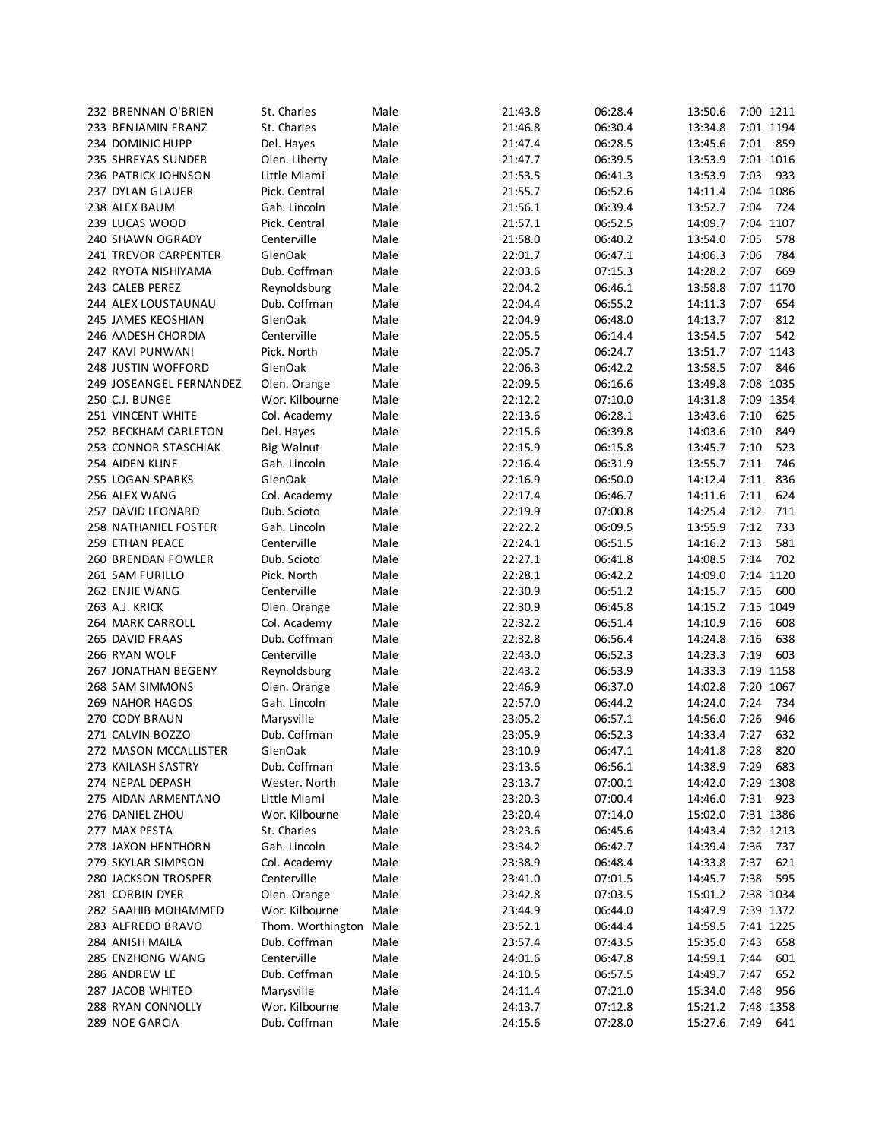| 232 BRENNAN O'BRIEN         | St. Charles       | Male | 21:43.8 | 06:28.4 | 13:50.6      |      | 7:00 1211 |
|-----------------------------|-------------------|------|---------|---------|--------------|------|-----------|
| 233 BENJAMIN FRANZ          | St. Charles       | Male | 21:46.8 | 06:30.4 | 13:34.8      |      | 7:01 1194 |
| 234 DOMINIC HUPP            | Del. Hayes        | Male | 21:47.4 | 06:28.5 | 13:45.6      | 7:01 | 859       |
| 235 SHREYAS SUNDER          | Olen. Liberty     | Male | 21:47.7 | 06:39.5 | 13:53.9      |      | 7:01 1016 |
| 236 PATRICK JOHNSON         | Little Miami      | Male | 21:53.5 | 06:41.3 | 13:53.9      | 7:03 | 933       |
| 237 DYLAN GLAUER            | Pick. Central     | Male | 21:55.7 | 06:52.6 | 14:11.4      |      | 7:04 1086 |
| 238 ALEX BAUM               | Gah. Lincoln      | Male | 21:56.1 | 06:39.4 | 13:52.7      | 7:04 | 724       |
| 239 LUCAS WOOD              | Pick. Central     | Male | 21:57.1 | 06:52.5 | 14:09.7      |      | 7:04 1107 |
| 240 SHAWN OGRADY            | Centerville       | Male | 21:58.0 | 06:40.2 | 13:54.0      | 7:05 | 578       |
| 241 TREVOR CARPENTER        | GlenOak           | Male | 22:01.7 | 06:47.1 | 14:06.3      | 7:06 | 784       |
| 242 RYOTA NISHIYAMA         | Dub. Coffman      | Male | 22:03.6 | 07:15.3 | 14:28.2      | 7:07 | 669       |
| 243 CALEB PEREZ             | Reynoldsburg      | Male | 22:04.2 | 06:46.1 | 13:58.8      |      | 7:07 1170 |
| 244 ALEX LOUSTAUNAU         | Dub. Coffman      | Male | 22:04.4 | 06:55.2 | 14:11.3      | 7:07 | 654       |
| 245 JAMES KEOSHIAN          | GlenOak           | Male | 22:04.9 | 06:48.0 | 14:13.7      | 7:07 | 812       |
| 246 AADESH CHORDIA          | Centerville       | Male | 22:05.5 | 06:14.4 | 13:54.5      | 7:07 | 542       |
| 247 KAVI PUNWANI            | Pick. North       | Male | 22:05.7 | 06:24.7 | 13:51.7      |      | 7:07 1143 |
| 248 JUSTIN WOFFORD          | GlenOak           | Male | 22:06.3 | 06:42.2 | 13:58.5      | 7:07 | 846       |
| 249 JOSEANGEL FERNANDEZ     | Olen. Orange      | Male | 22:09.5 | 06:16.6 | 13:49.8      |      | 7:08 1035 |
| 250 C.J. BUNGE              | Wor. Kilbourne    | Male | 22:12.2 | 07:10.0 | 14:31.8      |      | 7:09 1354 |
| 251 VINCENT WHITE           | Col. Academy      | Male | 22:13.6 | 06:28.1 | 13:43.6      | 7:10 | 625       |
| 252 BECKHAM CARLETON        | Del. Hayes        | Male | 22:15.6 | 06:39.8 | 14:03.6      | 7:10 | 849       |
| 253 CONNOR STASCHIAK        | <b>Big Walnut</b> | Male | 22:15.9 | 06:15.8 | 13:45.7      | 7:10 | 523       |
| 254 AIDEN KLINE             | Gah. Lincoln      | Male | 22:16.4 | 06:31.9 | 13:55.7      | 7:11 | 746       |
| 255 LOGAN SPARKS            | GlenOak           | Male | 22:16.9 | 06:50.0 | 14:12.4      | 7:11 | 836       |
| 256 ALEX WANG               | Col. Academy      | Male | 22:17.4 | 06:46.7 | 14:11.6      | 7:11 | 624       |
| 257 DAVID LEONARD           | Dub. Scioto       | Male | 22:19.9 | 07:00.8 | 14:25.4      | 7:12 | 711       |
| <b>258 NATHANIEL FOSTER</b> | Gah. Lincoln      | Male | 22:22.2 | 06:09.5 | 13:55.9      | 7:12 | 733       |
| 259 ETHAN PEACE             | Centerville       | Male | 22:24.1 | 06:51.5 | 14:16.2      | 7:13 | 581       |
| 260 BRENDAN FOWLER          | Dub. Scioto       | Male | 22:27.1 | 06:41.8 | 14:08.5      | 7:14 | 702       |
| 261 SAM FURILLO             | Pick. North       | Male | 22:28.1 | 06:42.2 | 14:09.0      |      | 7:14 1120 |
| 262 ENJIE WANG              | Centerville       | Male | 22:30.9 | 06:51.2 | 14:15.7      | 7:15 | 600       |
| 263 A.J. KRICK              | Olen. Orange      | Male | 22:30.9 | 06:45.8 | 14:15.2      |      | 7:15 1049 |
| 264 MARK CARROLL            | Col. Academy      | Male | 22:32.2 | 06:51.4 | 14:10.9      | 7:16 | 608       |
| 265 DAVID FRAAS             | Dub. Coffman      | Male | 22:32.8 | 06:56.4 | 14:24.8      | 7:16 | 638       |
| 266 RYAN WOLF               | Centerville       | Male | 22:43.0 | 06:52.3 | 14:23.3      | 7:19 | 603       |
| 267 JONATHAN BEGENY         | Reynoldsburg      | Male | 22:43.2 | 06:53.9 | 14:33.3      |      | 7:19 1158 |
| 268 SAM SIMMONS             | Olen. Orange      | Male | 22:46.9 | 06:37.0 | 14:02.8      |      | 7:20 1067 |
| 269 NAHOR HAGOS             | Gah. Lincoln      | Male | 22:57.0 | 06:44.2 | 14:24.0      | 7:24 | 734       |
| 270 CODY BRAUN              | Marysville        | Male | 23:05.2 | 06:57.1 | 14:56.0      | 7:26 | 946       |
| 271 CALVIN BOZZO            | Dub. Coffman      | Male | 23:05.9 | 06:52.3 | 14:33.4      | 7:27 | 632       |
| 272 MASON MCCALLISTER       | GlenOak           | Male | 23:10.9 | 06:47.1 | 14:41.8 7:28 |      | 820       |
| 273 KAILASH SASTRY          | Dub. Coffman      | Male | 23:13.6 | 06:56.1 | 14:38.9      | 7:29 | 683       |
| 274 NEPAL DEPASH            | Wester. North     | Male | 23:13.7 | 07:00.1 | 14:42.0      |      | 7:29 1308 |
| 275 AIDAN ARMENTANO         | Little Miami      | Male | 23:20.3 | 07:00.4 | 14:46.0      | 7:31 | 923       |
| 276 DANIEL ZHOU             | Wor. Kilbourne    | Male | 23:20.4 | 07:14.0 | 15:02.0      |      | 7:31 1386 |
| 277 MAX PESTA               | St. Charles       | Male | 23:23.6 | 06:45.6 | 14:43.4      |      | 7:32 1213 |
| 278 JAXON HENTHORN          | Gah. Lincoln      | Male | 23:34.2 | 06:42.7 | 14:39.4      | 7:36 | 737       |
| 279 SKYLAR SIMPSON          | Col. Academy      | Male | 23:38.9 | 06:48.4 | 14:33.8      | 7:37 | 621       |
| 280 JACKSON TROSPER         | Centerville       | Male | 23:41.0 | 07:01.5 | 14:45.7      | 7:38 | 595       |
| 281 CORBIN DYER             | Olen. Orange      | Male | 23:42.8 | 07:03.5 | 15:01.2      |      | 7:38 1034 |
| 282 SAAHIB MOHAMMED         | Wor. Kilbourne    | Male | 23:44.9 | 06:44.0 | 14:47.9      |      | 7:39 1372 |
| 283 ALFREDO BRAVO           | Thom. Worthington | Male | 23:52.1 | 06:44.4 | 14:59.5      |      | 7:41 1225 |
| 284 ANISH MAILA             | Dub. Coffman      | Male | 23:57.4 | 07:43.5 | 15:35.0      | 7:43 | 658       |
| 285 ENZHONG WANG            | Centerville       | Male | 24:01.6 | 06:47.8 | 14:59.1      | 7:44 | 601       |
| 286 ANDREW LE               | Dub. Coffman      | Male | 24:10.5 | 06:57.5 | 14:49.7      | 7:47 | 652       |
| 287 JACOB WHITED            | Marysville        | Male | 24:11.4 | 07:21.0 | 15:34.0      | 7:48 | 956       |
| 288 RYAN CONNOLLY           | Wor. Kilbourne    | Male | 24:13.7 | 07:12.8 | 15:21.2      |      | 7:48 1358 |
| 289 NOE GARCIA              | Dub. Coffman      | Male | 24:15.6 | 07:28.0 | 15:27.6      | 7:49 | 641       |
|                             |                   |      |         |         |              |      |           |